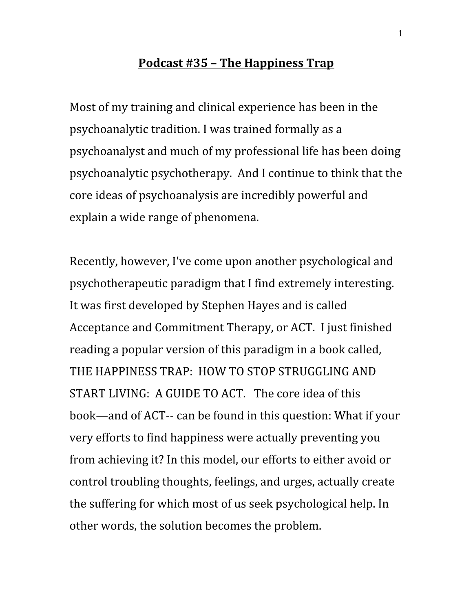## **Podcast #35 – The Happiness Trap**

Most of my training and clinical experience has been in the psychoanalytic tradition. I was trained formally as a psychoanalyst and much of my professional life has been doing psychoanalytic psychotherapy. And I continue to think that the core ideas of psychoanalysis are incredibly powerful and explain a wide range of phenomena.

Recently, however, I've come upon another psychological and psychotherapeutic paradigm that I find extremely interesting. It was first developed by Stephen Hayes and is called Acceptance and Commitment Therapy, or ACT. I just finished reading a popular version of this paradigm in a book called, THE HAPPINESS TRAP: HOW TO STOP STRUGGLING AND START LIVING: A GUIDE TO ACT. The core idea of this book—and of ACT-- can be found in this question: What if your very efforts to find happiness were actually preventing you from achieving it? In this model, our efforts to either avoid or control troubling thoughts, feelings, and urges, actually create the suffering for which most of us seek psychological help. In other words, the solution becomes the problem.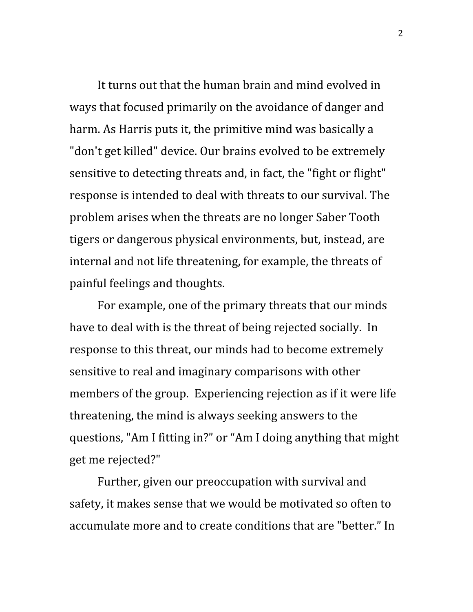It turns out that the human brain and mind evolved in ways that focused primarily on the avoidance of danger and harm. As Harris puts it, the primitive mind was basically a "don't get killed" device. Our brains evolved to be extremely sensitive to detecting threats and, in fact, the "fight or flight" response is intended to deal with threats to our survival. The problem arises when the threats are no longer Saber Tooth tigers or dangerous physical environments, but, instead, are internal and not life threatening, for example, the threats of painful feelings and thoughts.

For example, one of the primary threats that our minds have to deal with is the threat of being rejected socially. In response to this threat, our minds had to become extremely sensitive to real and imaginary comparisons with other members of the group. Experiencing rejection as if it were life threatening, the mind is always seeking answers to the questions, "Am I fitting in?" or "Am I doing anything that might get me rejected?"

Further, given our preoccupation with survival and safety, it makes sense that we would be motivated so often to accumulate more and to create conditions that are "better." In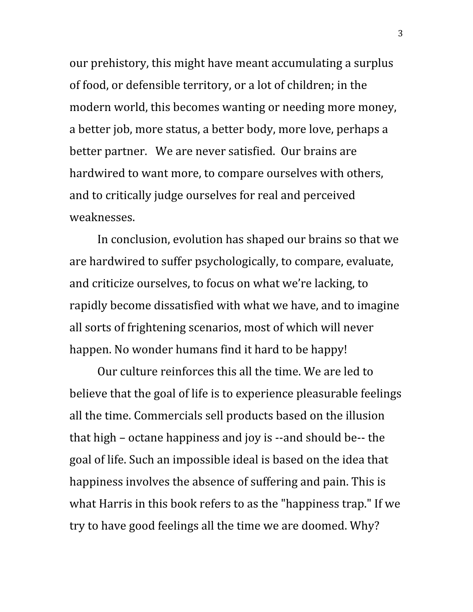our prehistory, this might have meant accumulating a surplus of food, or defensible territory, or a lot of children; in the modern world, this becomes wanting or needing more money, a better job, more status, a better body, more love, perhaps a better partner. We are never satisfied. Our brains are hardwired to want more, to compare ourselves with others, and to critically judge ourselves for real and perceived weaknesses.

In conclusion, evolution has shaped our brains so that we are hardwired to suffer psychologically, to compare, evaluate, and criticize ourselves, to focus on what we're lacking, to rapidly become dissatisfied with what we have, and to imagine all sorts of frightening scenarios, most of which will never happen. No wonder humans find it hard to be happy!

Our culture reinforces this all the time. We are led to believe that the goal of life is to experience pleasurable feelings all the time. Commercials sell products based on the illusion that high – octane happiness and joy is --and should be-- the goal of life. Such an impossible ideal is based on the idea that happiness involves the absence of suffering and pain. This is what Harris in this book refers to as the "happiness trap." If we try to have good feelings all the time we are doomed. Why?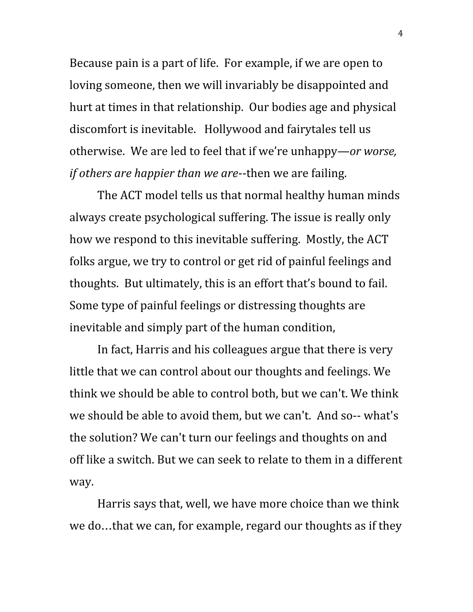Because pain is a part of life. For example, if we are open to loving someone, then we will invariably be disappointed and hurt at times in that relationship. Our bodies age and physical discomfort is inevitable. Hollywood and fairytales tell us otherwise. We are led to feel that if we're unhappy—*or worse, if others are happier than we are*--then we are failing.

The ACT model tells us that normal healthy human minds always create psychological suffering. The issue is really only how we respond to this inevitable suffering. Mostly, the ACT folks argue, we try to control or get rid of painful feelings and thoughts. But ultimately, this is an effort that's bound to fail. Some type of painful feelings or distressing thoughts are inevitable and simply part of the human condition,

In fact, Harris and his colleagues argue that there is very little that we can control about our thoughts and feelings. We think we should be able to control both, but we can't. We think we should be able to avoid them, but we can't. And so-- what's the solution? We can't turn our feelings and thoughts on and off like a switch. But we can seek to relate to them in a different way.

Harris says that, well, we have more choice than we think we do…that we can, for example, regard our thoughts as if they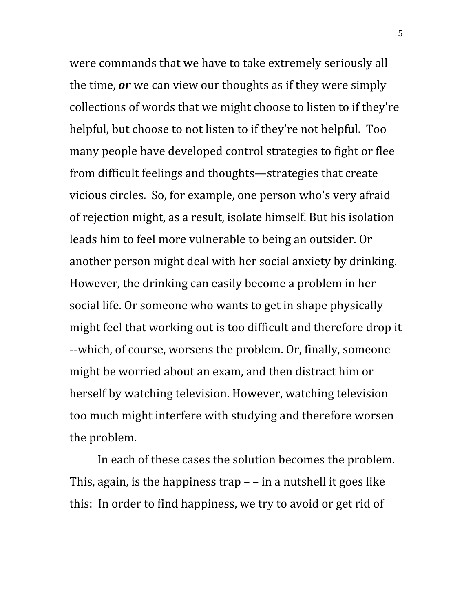were commands that we have to take extremely seriously all the time, *or* we can view our thoughts as if they were simply collections of words that we might choose to listen to if they're helpful, but choose to not listen to if they're not helpful. Too many people have developed control strategies to fight or flee from difficult feelings and thoughts—strategies that create vicious circles. So, for example, one person who's very afraid of rejection might, as a result, isolate himself. But his isolation leads him to feel more vulnerable to being an outsider. Or another person might deal with her social anxiety by drinking. However, the drinking can easily become a problem in her social life. Or someone who wants to get in shape physically might feel that working out is too difficult and therefore drop it --which, of course, worsens the problem. Or, finally, someone might be worried about an exam, and then distract him or herself by watching television. However, watching television too much might interfere with studying and therefore worsen the problem.

In each of these cases the solution becomes the problem. This, again, is the happiness trap  $-$  – in a nutshell it goes like this: In order to find happiness, we try to avoid or get rid of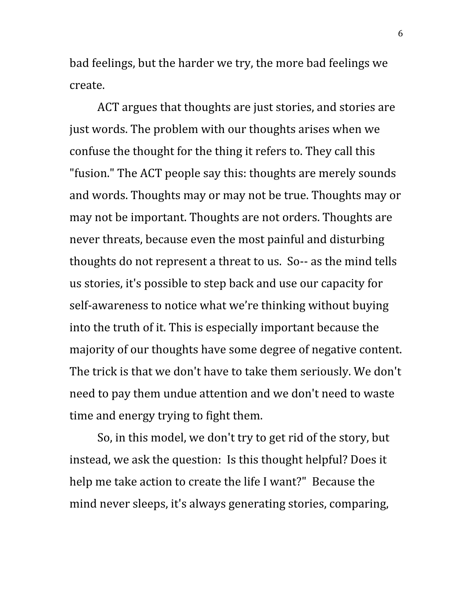bad feelings, but the harder we try, the more bad feelings we create.

ACT argues that thoughts are just stories, and stories are just words. The problem with our thoughts arises when we confuse the thought for the thing it refers to. They call this "fusion." The ACT people say this: thoughts are merely sounds and words. Thoughts may or may not be true. Thoughts may or may not be important. Thoughts are not orders. Thoughts are never threats, because even the most painful and disturbing thoughts do not represent a threat to us. So-- as the mind tells us stories, it's possible to step back and use our capacity for self-awareness to notice what we're thinking without buying into the truth of it. This is especially important because the majority of our thoughts have some degree of negative content. The trick is that we don't have to take them seriously. We don't need to pay them undue attention and we don't need to waste time and energy trying to fight them.

So, in this model, we don't try to get rid of the story, but instead, we ask the question: Is this thought helpful? Does it help me take action to create the life I want?" Because the mind never sleeps, it's always generating stories, comparing,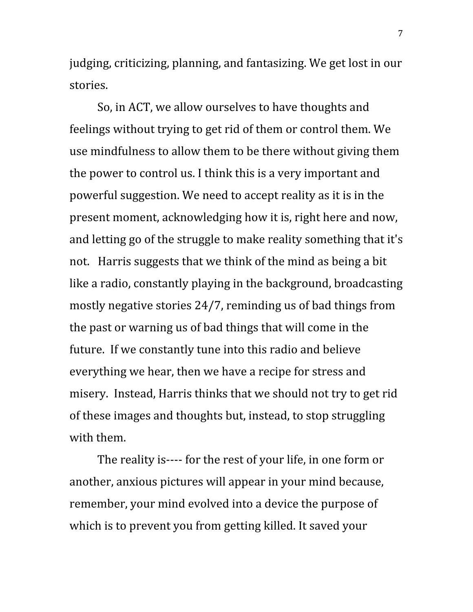judging, criticizing, planning, and fantasizing. We get lost in our stories.

So, in ACT, we allow ourselves to have thoughts and feelings without trying to get rid of them or control them. We use mindfulness to allow them to be there without giving them the power to control us. I think this is a very important and powerful suggestion. We need to accept reality as it is in the present moment, acknowledging how it is, right here and now, and letting go of the struggle to make reality something that it's not. Harris suggests that we think of the mind as being a bit like a radio, constantly playing in the background, broadcasting mostly negative stories 24/7, reminding us of bad things from the past or warning us of bad things that will come in the future. If we constantly tune into this radio and believe everything we hear, then we have a recipe for stress and misery. Instead, Harris thinks that we should not try to get rid of these images and thoughts but, instead, to stop struggling with them.

The reality is---- for the rest of your life, in one form or another, anxious pictures will appear in your mind because, remember, your mind evolved into a device the purpose of which is to prevent you from getting killed. It saved your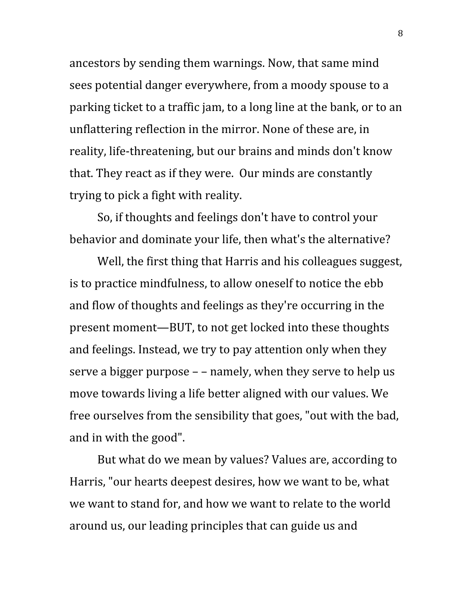ancestors by sending them warnings. Now, that same mind sees potential danger everywhere, from a moody spouse to a parking ticket to a traffic jam, to a long line at the bank, or to an unflattering reflection in the mirror. None of these are, in reality, life-threatening, but our brains and minds don't know that. They react as if they were. Our minds are constantly trying to pick a fight with reality.

So, if thoughts and feelings don't have to control your behavior and dominate your life, then what's the alternative?

Well, the first thing that Harris and his colleagues suggest, is to practice mindfulness, to allow oneself to notice the ebb and flow of thoughts and feelings as they're occurring in the present moment—BUT, to not get locked into these thoughts and feelings. Instead, we try to pay attention only when they serve a bigger purpose – – namely, when they serve to help us move towards living a life better aligned with our values. We free ourselves from the sensibility that goes, "out with the bad, and in with the good".

But what do we mean by values? Values are, according to Harris, "our hearts deepest desires, how we want to be, what we want to stand for, and how we want to relate to the world around us, our leading principles that can guide us and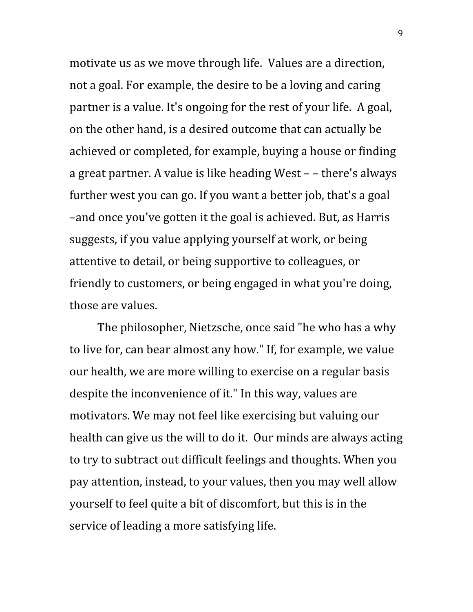motivate us as we move through life. Values are a direction, not a goal. For example, the desire to be a loving and caring partner is a value. It's ongoing for the rest of your life. A goal, on the other hand, is a desired outcome that can actually be achieved or completed, for example, buying a house or finding a great partner. A value is like heading West – – there's always further west you can go. If you want a better job, that's a goal –and once you've gotten it the goal is achieved. But, as Harris suggests, if you value applying yourself at work, or being attentive to detail, or being supportive to colleagues, or friendly to customers, or being engaged in what you're doing, those are values.

The philosopher, Nietzsche, once said "he who has a why to live for, can bear almost any how." If, for example, we value our health, we are more willing to exercise on a regular basis despite the inconvenience of it." In this way, values are motivators. We may not feel like exercising but valuing our health can give us the will to do it. Our minds are always acting to try to subtract out difficult feelings and thoughts. When you pay attention, instead, to your values, then you may well allow yourself to feel quite a bit of discomfort, but this is in the service of leading a more satisfying life.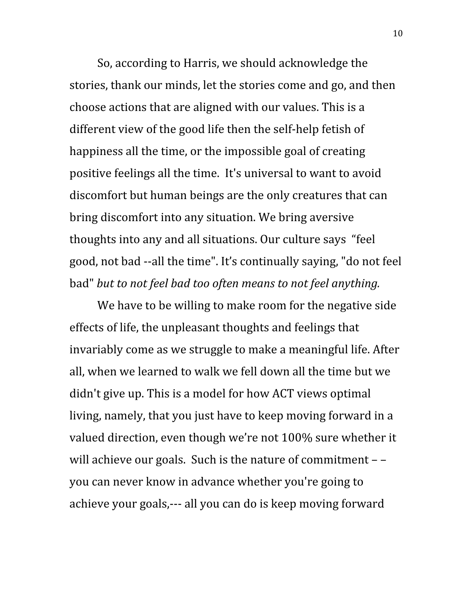So, according to Harris, we should acknowledge the stories, thank our minds, let the stories come and go, and then choose actions that are aligned with our values. This is a different view of the good life then the self-help fetish of happiness all the time, or the impossible goal of creating positive feelings all the time. It's universal to want to avoid discomfort but human beings are the only creatures that can bring discomfort into any situation. We bring aversive thoughts into any and all situations. Our culture says "feel good, not bad --all the time". It's continually saying, "do not feel bad" *but to not feel bad too often means to not feel anything.*

We have to be willing to make room for the negative side effects of life, the unpleasant thoughts and feelings that invariably come as we struggle to make a meaningful life. After all, when we learned to walk we fell down all the time but we didn't give up. This is a model for how ACT views optimal living, namely, that you just have to keep moving forward in a valued direction, even though we're not 100% sure whether it will achieve our goals. Such is the nature of commitment – – you can never know in advance whether you're going to achieve your goals,--- all you can do is keep moving forward